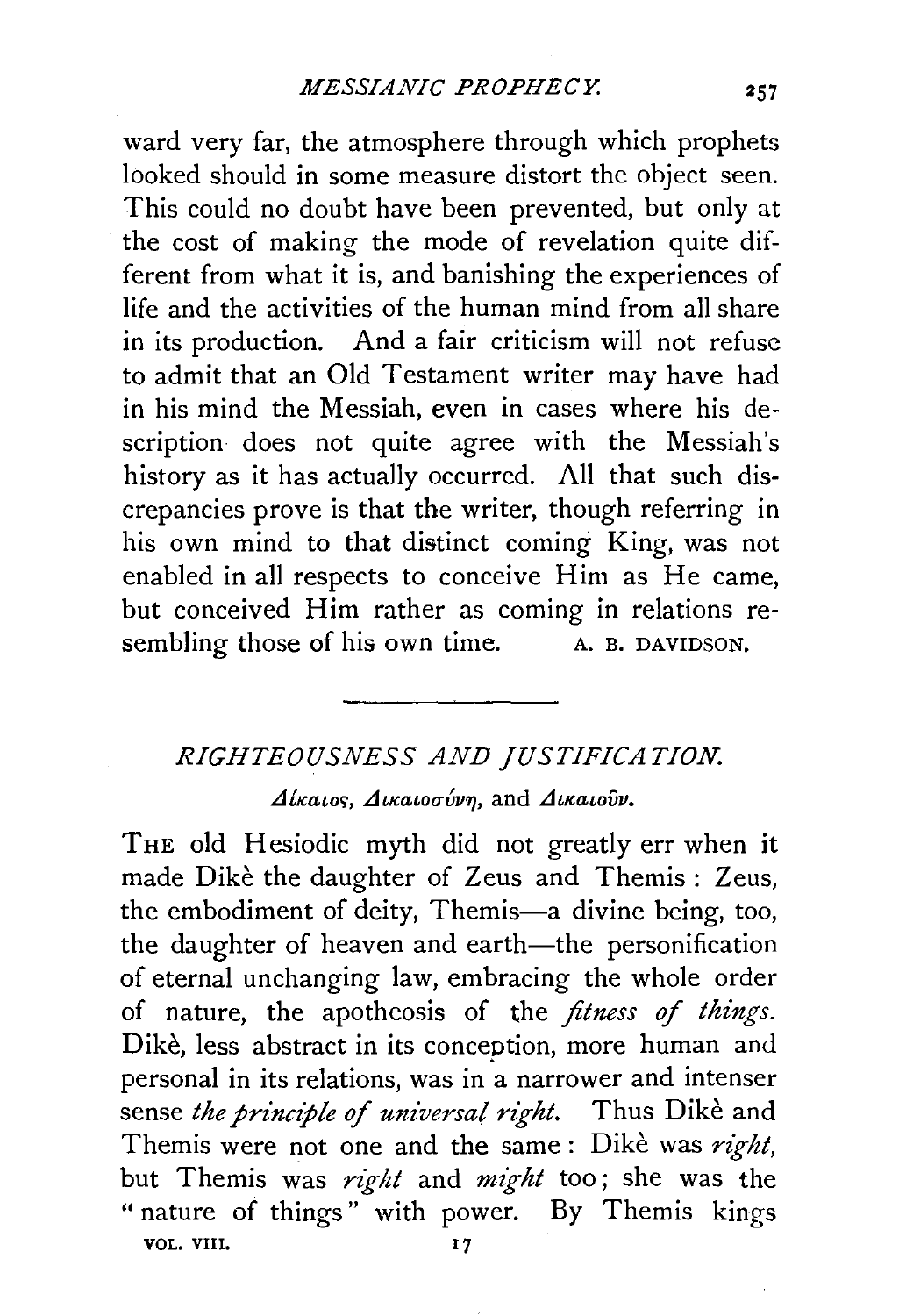ward very far, the atmosphere through which prophets looked should in some measure distort the object seen. This could no doubt have been prevented, but only at the cost of making the mode of revelation quite different from what it is, and banishing the experiences of life and the activities of the human mind from all share in its production. And a fair criticism will not refuse to admit that an Old Testament writer may have had in his mind the Messiah, even in cases where his description does not quite agree with the Messiah's history as it has actually occurred. All that such discrepancies prove is that the writer, though referring in his own mind to that distinct coming King, was not enabled in all respects to conceive Him as He came, but conceived Him rather as coming in relations resembling those of his own time. A. B. DAVIDSON.

## *RIGHTEOUSNESS AND JUSTIFICATION.*

 $\Delta$ *iκatos*, Δικαιοσύνη, and Δικαιούν.

THE old Hesiodic myth did not greatly err when it made Dike the daughter of Zeus and Themis : Zeus, the embodiment of deity, Themis-a divine being, too, the daughter of heaven and earth-the personification of eternal unchanging law, embracing the whole order of nature, the apotheosis of the *fitness of things.*  Dike, less abstract in its conception, more human and personal in its relations, was in a narrower and intenser sense *the principle of universal right*. Thus Dike and Themis were not one and the same : Dike was *right,*  but Themis was *right* and *might* too ; she was the " nature of things" with power. By Themis kings VOL. VIII. 17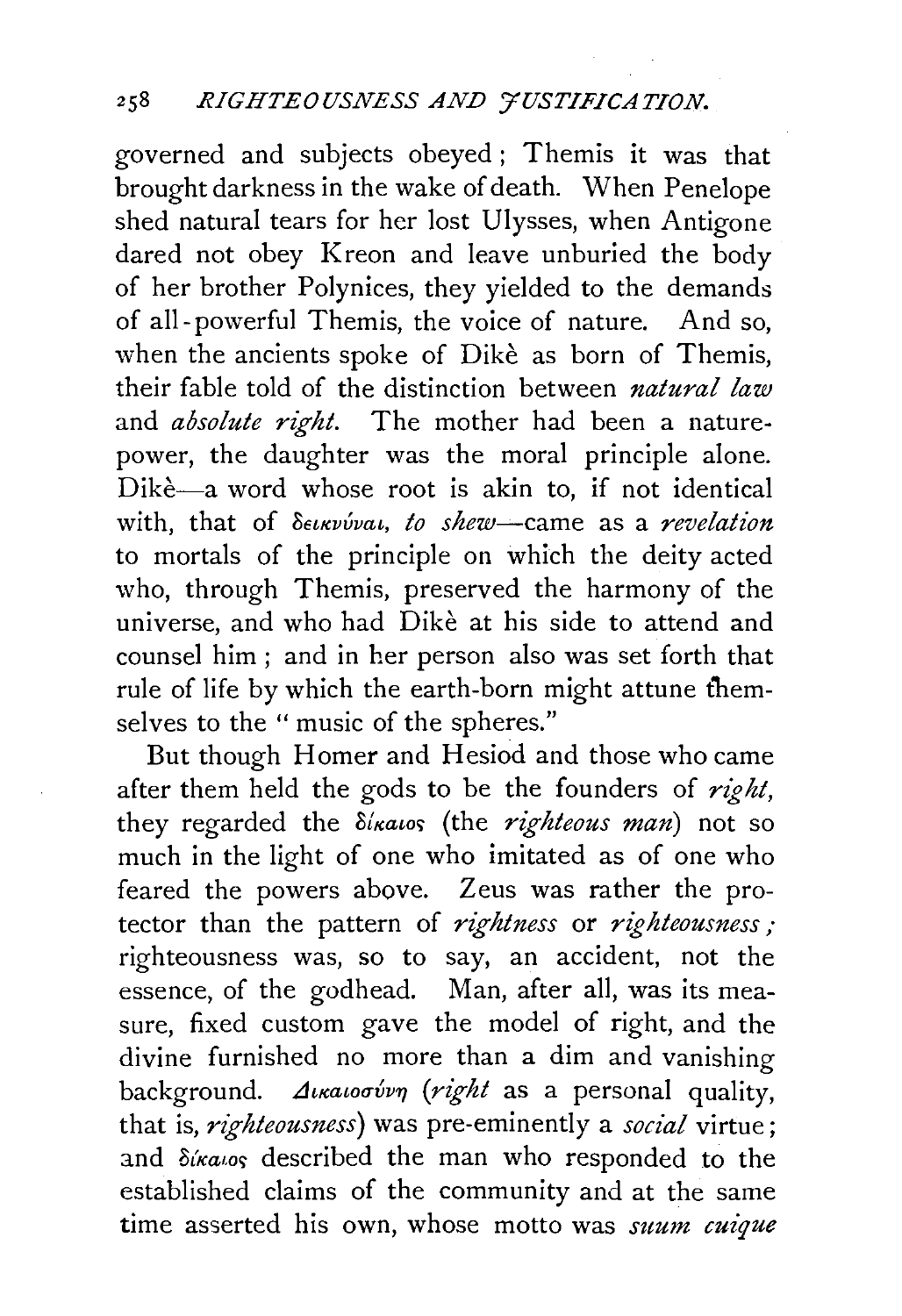governed and subjects obeyed ; Themis it was that brought darkness in the wake of death. When Penelope shed natural tears for her lost Ulysses, when Antigone dared not obey Kreon and leave unburied the body of her brother Polynices, they yielded to the demands of all- powerful Themis, the voice of nature. And so, when the ancients spoke of Dikè as born of Themis, their fable told of the distinction between *natural law*  and *absolute right*. The mother had been a naturepower, the daughter was the moral principle alone. Dikè—a word whose root is akin to, if not identical with, that of  $\delta$ *eukvvvai, to shew*-came as a *revelation* to mortals of the principle on which the deity acted who, through Themis, preserved the harmony of the universe, and who had Dike at his side to attend and counsel him ; and in her person also was set forth that rule of life by which the earth-born might attune themselves to the " music of the spheres."

But though Homer and Hesiod and those who came after them held the gods to be the founders of *right*, they regarded the  $\delta$ *ikatos* (the *righteous man*) not so much in the light of one who imitated as of one who feared the powers above. Zeus was rather the protector than the pattern of *rightness* or *righteousness;*  righteousness was, so to say, an accident, not the essence, of the godhead. Man, after all, was its measure, fixed custom gave the model of right, and the divine furnished no more than a dim and vanishing background. *Avaloov'vn* (right as a personal quality, that is, *righteousness*) was pre-eminently a *social* virtue; and  $\delta$ ika,os described the man who responded to the established claims of the community and at the same time asserted his own, whose motto was *suum cuique*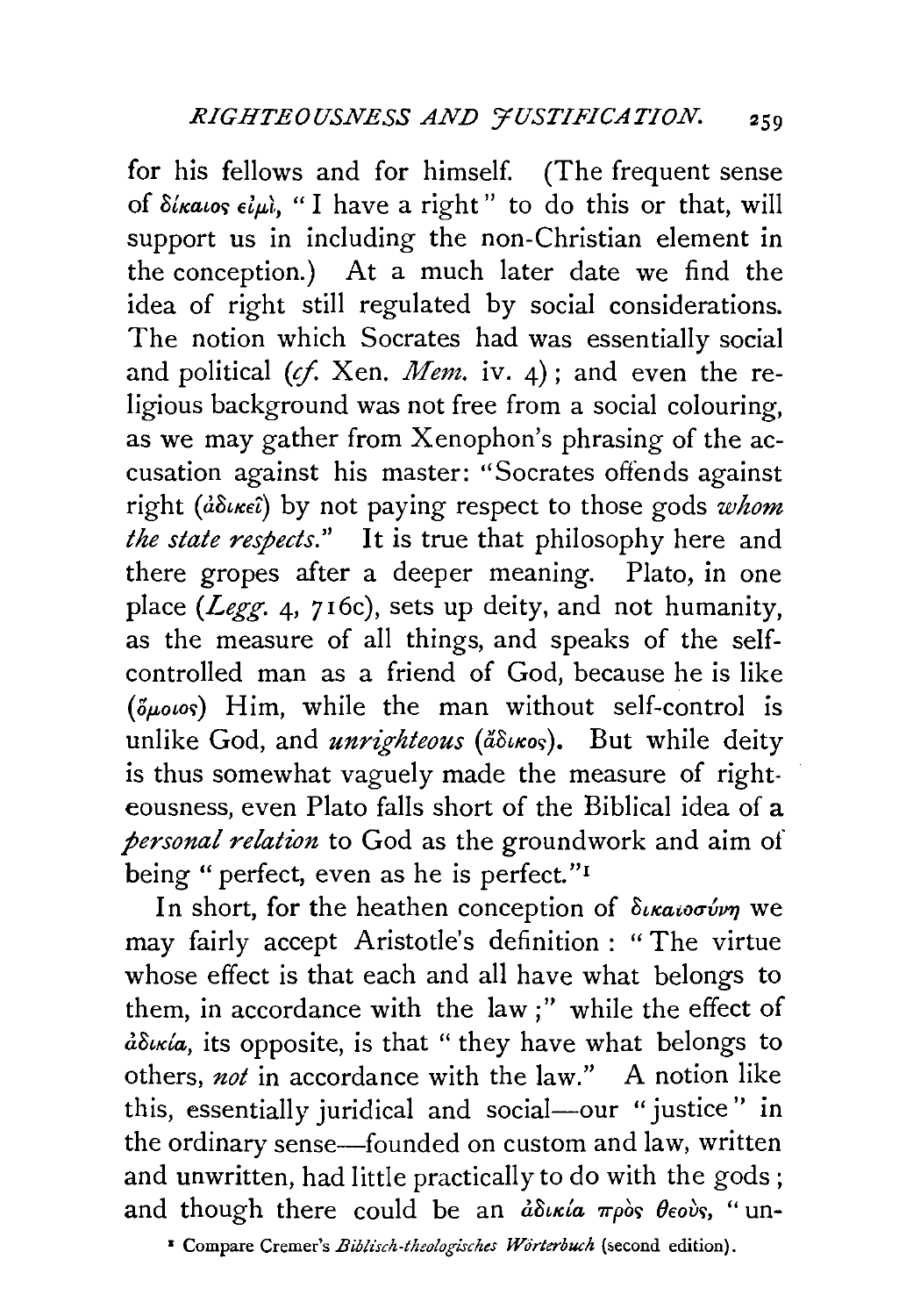for his fellows and for himself. (The frequent sense of  $\delta$ *lkatos*  $\epsilon$ *l* $\mu$ *l*, " I have a right" to do this or that, will support us in including the non-Christian element in the conception.) At a much later date we find the idea of right still regulated by social considerations. The notion which Socrates had was essentially social and political *(cf.* Xen. *Mem.* iv. 4); and even the religious background was not free from a social colouring, as we may gather from Xenophon's phrasing of the accusation against his master: "Socrates offends against right *(dothest)* by not paying respect to those gods *whom the state respects.''* It is true that philosophy here and there gropes after a deeper meaning. Plato, in one place *(Legg.* 4, 716c), sets up deity, and not humanity, as the measure of all things, and speaks of the selfcontrolled man as a friend of God, because he is like  $(\delta\mu_{\alpha\alpha})$  Him, while the man without self-control is unlike God, and *unrighteous* (a<sup>3</sup>unos). But while deity is thus somewhat vaguely made the measure of righteousness, even Plato falls short of the Biblical idea of a *personal relation* to God as the groundwork and aim of being "perfect, even as he is perfect."<sup>1</sup>

In short, for the heathen conception of δικαιοσύνη we may fairly accept Aristotle's definition : "The virtue whose effect is that each and all have what belongs to them, in accordance with the law;" while the effect of dowia, its opposite, is that " they have what belongs to others, *not* in accordance with the law." A notion like this, essentially juridical and social-our "justice" in the ordinary sense-founded on custom and law, written and unwritten, had little practically to do with the gods ; and though there could be an  $\partial \delta x$   $\partial \rho$   $\partial \delta y$ , " un-

<sup>&</sup>lt;sup>*s*</sup> Compare Cremer's *Biblisch-theologisches Wörterbuch* (second edition).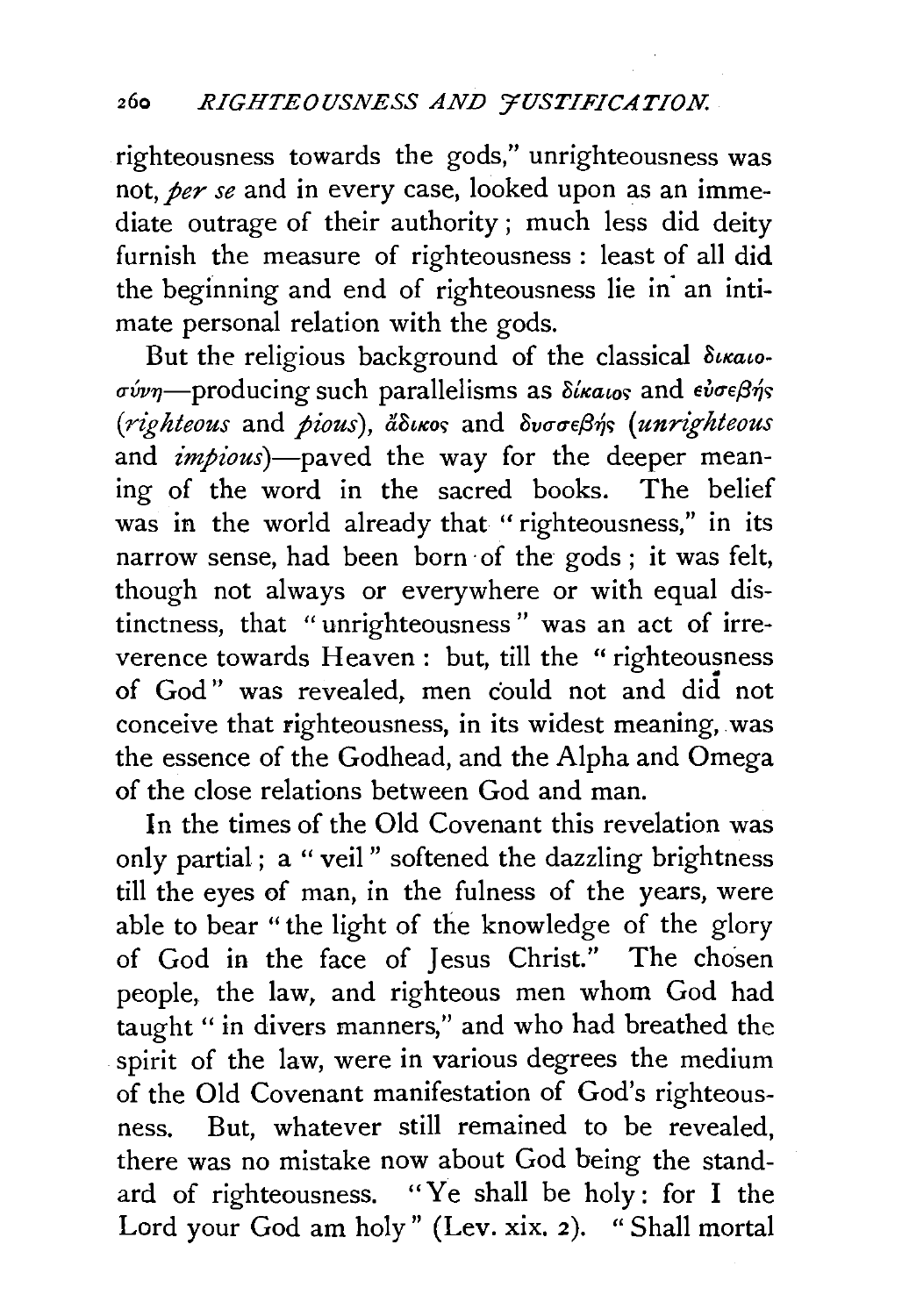righteousness towards the gods," unrighteousness was not, *per se* and in every case, looked upon as an immediate outrage of their authority ; much less did deity furnish the measure of righteousness : least of all did the beginning and end of righteousness lie in· an intimate personal relation with the gods.

But the religious background of the classical  $\delta$ *urato*a-vvn-producing such parallelisms as *0£Ka£oc;* and eva-ef3~c; *(righteous and pious), ἄδικος and δυσσεβής (unrighteous* and *impious*)-paved the way for the deeper meaning of the word in the sacred books. The belief was in the world already that "righteousness," in its narrow sense, had been born· of the gods ; it was felt, though not always or everywhere or with equal distinctness, that " unrighteousness " was an act of irreverence towards Heaven: but, till the "righteousness of God" was revealed, men could not and did not conceive that righteousness, in its widest meaning, was the essence of the Godhead, and the Alpha and Omega of the close relations between God and man.

In the times of the Old Covenant this revelation was only partial ; a "veil " softened the dazzling brightness till the eyes of man, in the fulness of the years, were able to bear '' the light of the knowledge of the glory of God in the face of Jesus Christ." The chosen people, the law, and righteous men whom God had taught " in divers manners," and who had breathed the spirit of the law, were in various degrees the medium of the Old Covenant manifestation of God's righteousness. But, whatever still remained to be revealed, there was no mistake now about God being the standard of righteousness. "Ye shall be holy: for I the Lord your God am holy" (Lev. xix. 2). " Shall mortal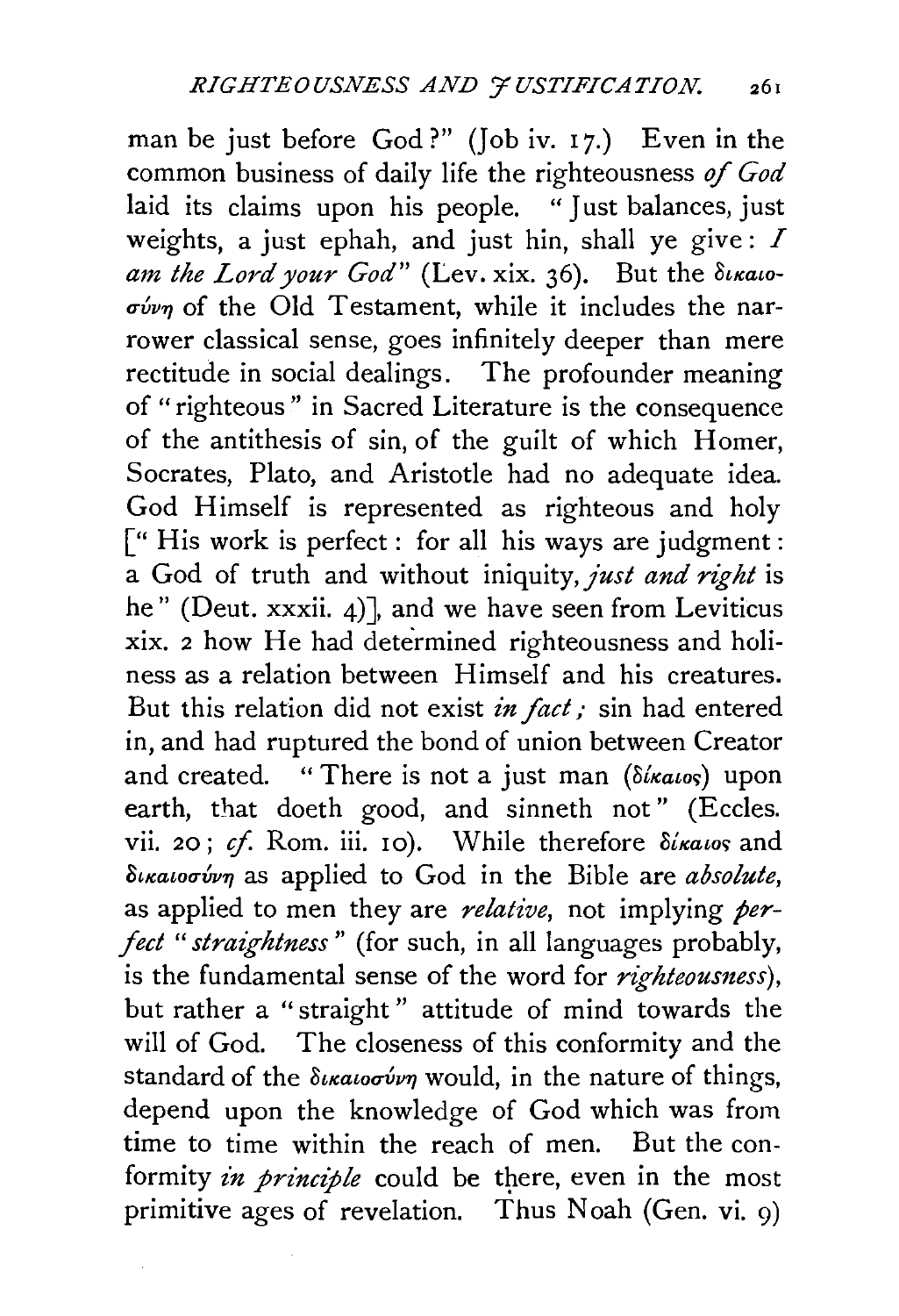man be just before God?" (Job iv. 17.) Even in the common business of daily life the righteousness of *God*  laid its claims upon his people. "Just balances, just weights, a just ephah, and just hin, shall ye give:  $I$ am the Lord your God" (Lev. xix. 36). But the  $\delta$ ikaio- $\sigma$ *ivn* of the Old Testament, while it includes the narrower classical sense, goes infinitely deeper than mere rectitude in social dealings. The profounder meaning of "righteous" in Sacred Literature is the consequence of the antithesis of sin, of the guilt of which Homer, Socrates, Plato, and Aristotle had no adequate idea. God Himself is represented as righteous and holy [" His work is perfect: for all his ways are judgment: a God of truth and without iniquity, *just and right* is he" (Deut. xxxii. 4)], and we have seen from Leviticus xix. 2 how He had determined righteousness and holiness as a relation between Himself and his creatures. But this relation did not exist *in fact* ; sin had entered in, and had ruptured the bond of union between Creator and created. "There is not a just man *(Sixatos)* upon earth, that doeth good, and sinneth not" (Eccles. vii. 20; cf. Rom. iii. 10). While therefore *dixatos* and *oucawu6v"l* as applied to God in the Bible are *absolute,*  as applied to men they are *relative,* not implying *perfect "straightness"* (for such, in all languages probably, is the fundamental sense of the word for *righteoumess),*  but rather a " straight " attitude of mind towards the will of God. The closeness of this conformity and the standard of the δικαιοσύνη would, in the nature of things, depend upon the knowledge of God which was from time to time within the reach of men. But the conformity *in principle* could be there, even in the most primitive ages of revelation. Thus Noah (Gen. vi. 9)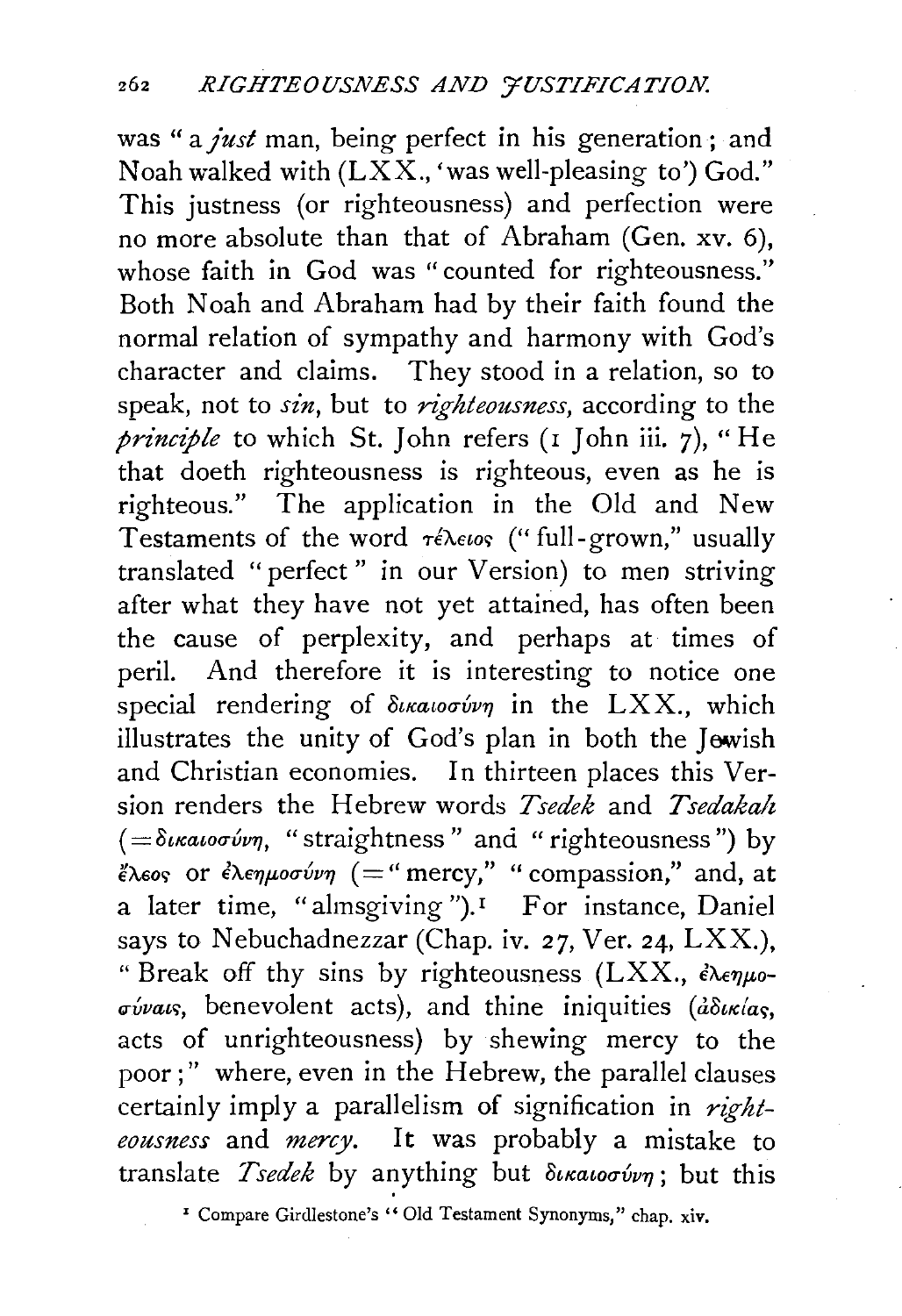was " a *just* man, being perfect in his generation ; and Noah walked with  $(LXX, '$  was well-pleasing to') God." This justness (or righteousness) and perfection were no more absolute than that of Abraham (Gen. xv. 6), whose faith in God was "counted for righteousness." Both Noah and Abraham had by their faith found the normal relation of sympathy and harmony with God's character and claims. They stood in a relation, so to speak, not to *sin,* but to *righteousness,* according to the *principle* to which St. John refers (1 John iii. 7), "He that doeth righteousness is righteous, even as he is righteous." The application in the Old and New Testaments of the word  $\tau \in \lambda \in \{18, 180\}$  are ("full-grown," usually translated "perfect" in our Version) to men striving after what they have not yet attained, has often been the cause of perplexity, and perhaps at times of peril. And therefore it is interesting to notice one special rendering of  $\delta u \alpha u \sigma \acute{\nu} \gamma$  in the LXX., which illustrates the unity of God's plan in both the Jewish and Christian economies. In thirteen places this Version renders the Hebrew words *Tsedek* and *Tsedakah*   $( = \delta u \alpha \omega \sigma \omega \eta,$  "straightness" and "righteousness") by  $\epsilon \to \epsilon$  or  $\epsilon \to \epsilon \to \epsilon$  (="mercy," " compassion," and, at a later time, "almsgiving").<sup>1</sup> For instance, Daniel says to Nebuchadnezzar (Chap. iv. 27, Ver. 24,  $LXX$ .), " Break off thy sins by righteousness (LXX.,  $\epsilon \lambda \epsilon \eta \mu o$ - $\sigma \acute{\nu}$ vaus, benevolent acts), and thine iniquities ( $\acute{a}\delta \nu \kappa /a$ s, acts of unrighteousness) by shewing mercy to the poor;" where, even in the Hebrew, the parallel clauses certainly imply a parallelism of signification in *righteousness* and *mercy.* It was probably a mistake to translate *Tsedek* by anything but  $\delta u \alpha u$  is this

' Compare Girdlestone's "Old Testament Synonyms," chap. xiv.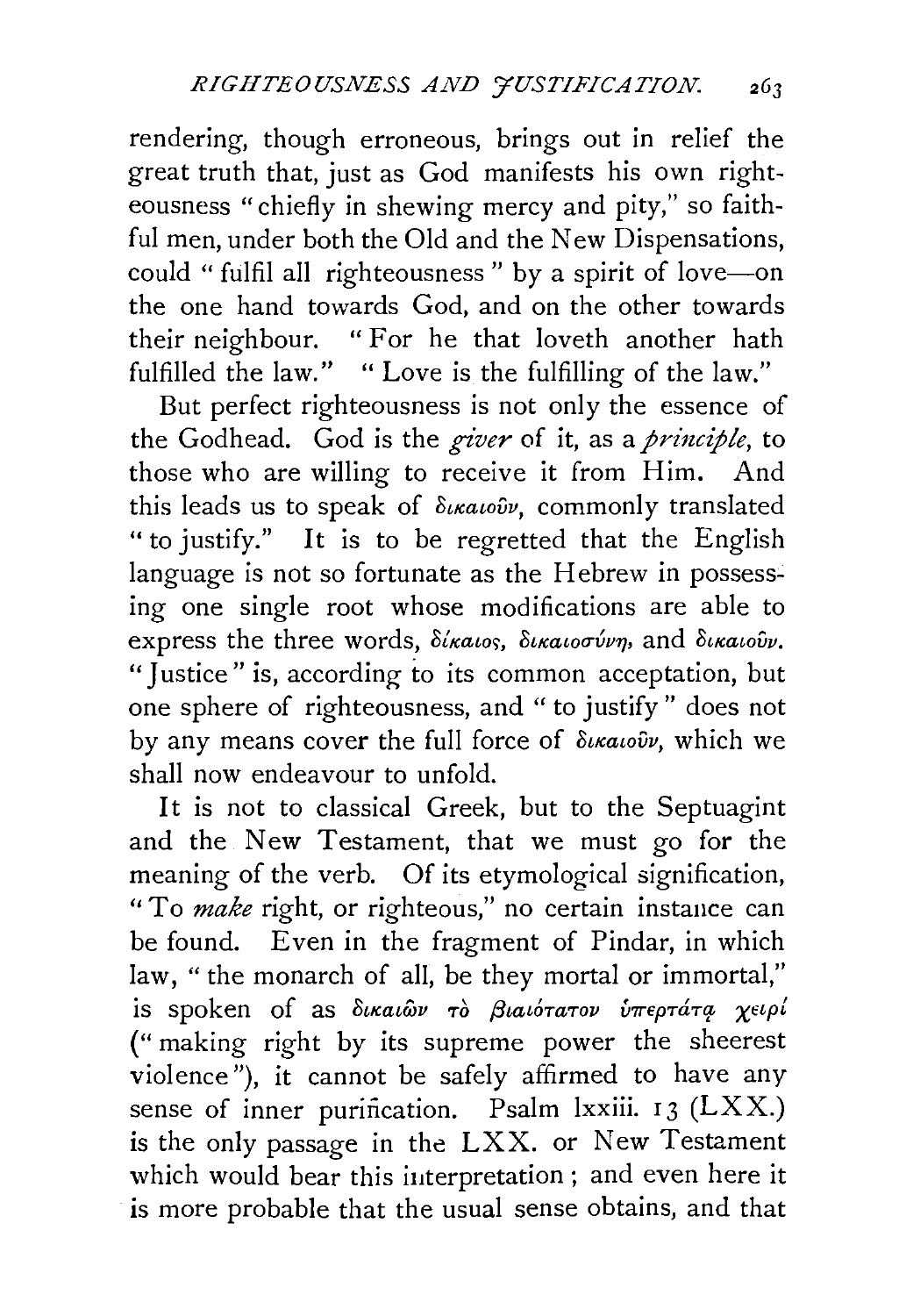rendering, though erroneous, brings out in relief the great truth that, just as God manifests his own righteousness "chiefly in shewing mercy and pity," so faithful men, under both the Old and the New Dispensations, could " fulfil all righteousness" by a spirit of love-on the one hand towards God, and on the other towards their neighbour. " For he that loveth another hath fulfilled the law." " Love is the fulfilling of the law."

But perfect righteousness is not only the essence of the Godhead. God is the *giver* of it, as a *principle*, to those who are willing to receive it from Him. And this leads us to speak of  $\delta u \alpha u \delta v$ , commonly translated " to justify." It is to be regretted that the English language is not so fortunate as the Hebrew in possessing one single root whose modifications are able to express the three words, δίκαιος, δικαιοσύνη, and δικαιούν. "Iustice" is, according to its common acceptation, but one sphere of righteousness, and " to justify " does not by any means cover the full force of  $\delta_{\iota\kappa a\iota o\hat{\nu}\nu}$ , which we shall now endeavour to unfold.

It is not to classical Greek, but to the Septuagint and the New Testament, that we must go for the meaning of the verb. Of its etymological signification, "To *make* right, or righteous," no certain instance can be found. Even in the fragment of Pindar, in which law, "the monarch of all, be they mortal or immortal," is spoken of as δικαιών τὸ βιαιότατον υπερτάτα χειρί ("making right by its supreme power the sheerest violence"), it cannot be safely affirmed to have any sense of inner purification. Psalm lxxiii.  $13$  (LXX.) is the only passage in the LXX. or New Testament which would bear this iuterpretation ; and even here it is more probable that the usual sense obtains, and that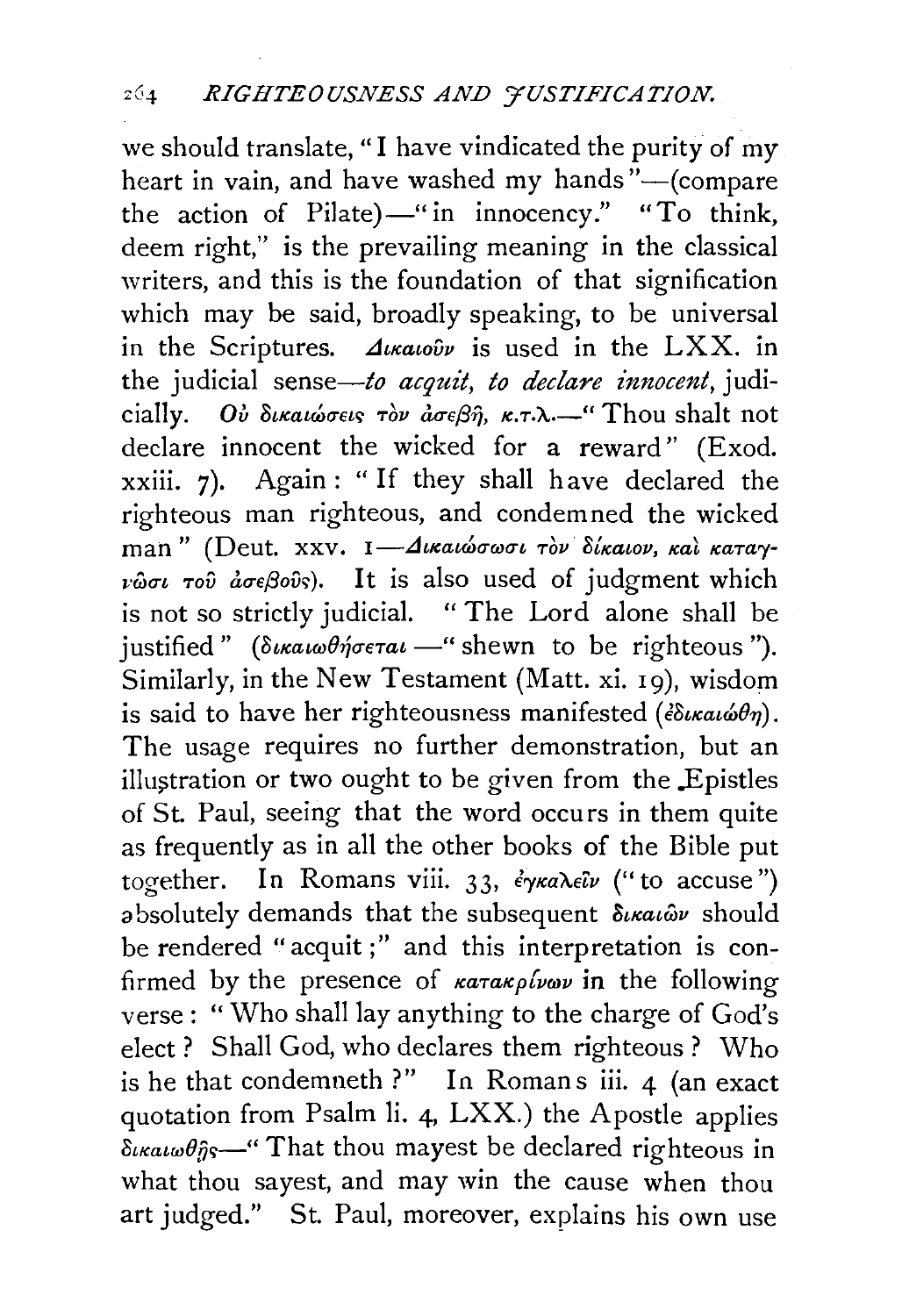we should translate, "I have vindicated the purity of my heart in vain, and have washed my hands"-(compare the action of Pilate) $-$ " in innocency." "To think, deem right," is the prevailing meaning in the classical writers, and this is the foundation of that signification which may be said, broadly speaking, to be universal in the Scriptures.  $\Delta u \alpha_0 \hat{v} \hat{v}$  is used in the LXX. in the judicial sense-to *acquit, to declare innocent,* judicially. *Ου δικαιώσεις τον ασεβή, κ.τ.λ.*...... Thou shalt not declare innocent the wicked for a reward'' (Exod. xxiii. 7). Again: "If they shall have declared the righteous man righteous, and condemned the wicked man" (Deut. xxv. I- Δικαιώσωσι τον δίκαιον, και καταγ- $\nu\hat{\omega}\sigma\iota\tau$ ov  $\hat{a}\sigma\epsilon\beta$ ovs). It is also used of judgment which is not so strictly judicial. " The Lord alone shall be justified" *(duratwoffgerat* -" shewn to be righteous"). Similarly, in the New Testament (Matt. xi. 19), wisdom is said to have her righteousness manifested ( $\epsilon \delta \iota \kappa \alpha \iota \omega \theta \eta$ ). The usage requires no further demonstration, but an illustration or two ought to be given from the Epistles of St. Paul, seeing that the word occurs in them quite as frequently as in all the other books of the Bible put together. In Romans viii. 33, *έγκαλεΐν* ("to accuse") absolutely demands that the subsequent  $\delta_{\ell}$ *katov* should be rendered "acquit;" and this interpretation is confirmed by the presence of *karakplywy* in the following verse: "Who shall lay anything to the charge of God's elect ? Shall God, who declares them righteous ? Who is he that condemneth ?" In Romans iii.  $4$  (an exact quotation from Psalm li. 4, LXX.) the Apostle applies  $\delta_{\kappa \alpha \iota \omega \theta \hat{\eta} \hat{\zeta}}$  " That thou may est be declared righteous in what thou sayest, and may win the cause when thou art judged." St. Paul, moreover, explains his own use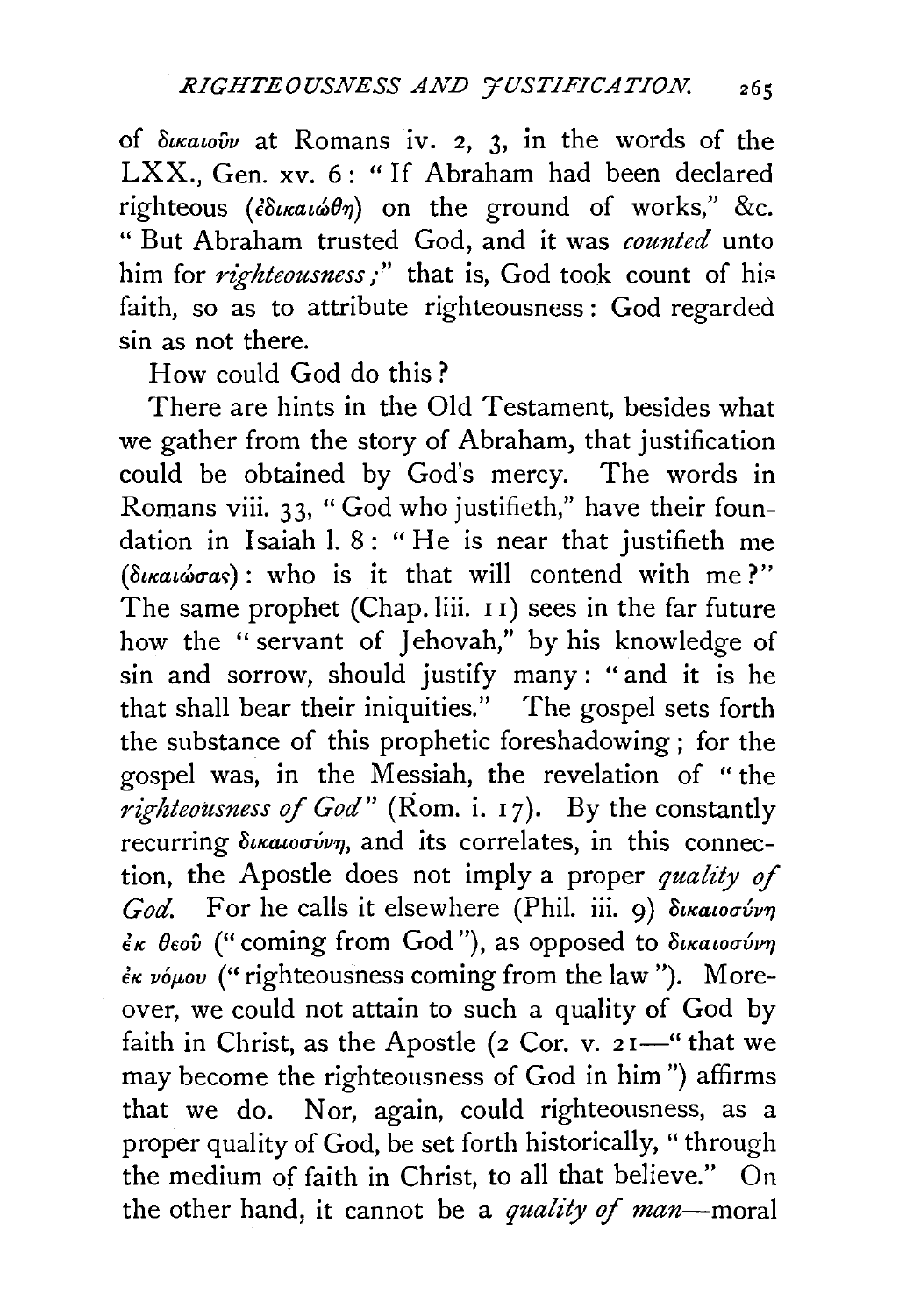of *oucawvv* at Romans iv. 2, 3, in the words of the LXX., Gen. xv. 6: "If Abraham had been declared righteous ( $\partial u \kappa a \omega \partial \eta$ ) on the ground of works," &c. " But Abraham trusted God, and it was *counted* unto him for *righteousness*;" that is, God took count of his faith, so as to attribute righteousness : God regarded sin as not there.

How could God do this ?

There are hints in the Old Testament, besides what we gather from the story of Abraham, that justification could be obtained by God's mercy. The words in Romans viii. 33, " God who justifieth," have their foundation in Isaiah I. 8: "He is near that justifieth me (δικαιώσας): who is it that will contend with me?" The same prophet (Chap.liii. II) sees in the far future how the "servant of Jehovah," by his knowledge of sin and sorrow, should justify many : " and it is he that shall bear their iniquities." The gospel sets forth the substance of this prophetic foreshadowing ; for the gospel was, in the Messiah, the revelation of "the *righteousness of God*" (Rom. i. 17). By the constantly recurring δικαιοσύνη, and its correlates, in this connection, the Apostle does not imply a proper *quality of God.* For he calls it elsewhere (Phil. iii. 9) δικαιοσύνη  $\epsilon$ κ θεοῦ ("coming from God"), as opposed to δικαιοσύνη  $\epsilon$ *κ νόμου* ("righteousness coming from the law"). Moreover, we could not attain to such a quality of God by faith in Christ, as the Apostle ( $2$  Cor. v.  $21$ —" that we may become the righteousness of God in him") affirms that we do. Nor, again, could righteousness, as a proper quality of God, be set forth historically, "through the medium of faith in Christ, to all that believe." On the other hand, it cannot be a *quality of man-moral*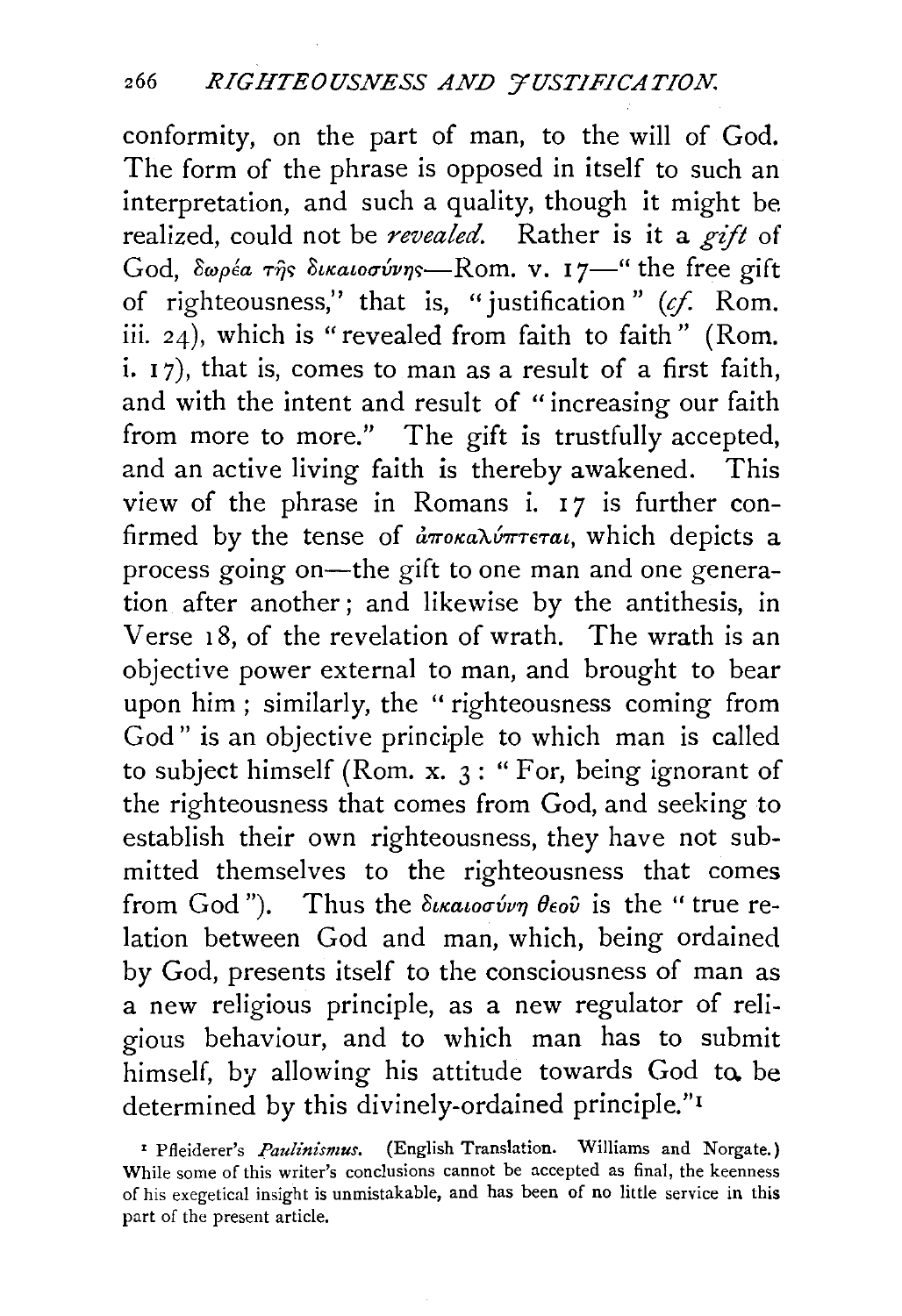conformity, on the part of man, to the will of God. The form of the phrase is opposed in itself to such an interpretation, and such a quality, though it might be realized, could not be *revealed.* Rather is it a *gift* of God,  $\delta \omega \rho \epsilon a$   $\tau \hat{\eta}$ s  $\delta \kappa a$ ιοσύνης—Rom. v. 17—" the free gift of righteousness," that is, "justification" *(if.* Rom. iii. 24), which is "revealed from faith to faith" (Rom. i.  $17$ ), that is, comes to man as a result of a first faith, and with the intent and result of "increasing our faith from more to more." The gift is trustfully accepted, and an active living faith is thereby awakened. This view of the phrase in Romans i.  $17$  is further confirmed by the tense of  $\partial \pi$ oka $\lambda$ ύπτεται, which depicts a process going on-the gift to one man and one generation after another; and likewise by the antithesis, in Verse 18, of the revelation of wrath. The wrath is an objective power external to man, and brought to bear upon him; similarly, the "righteousness coming from God" is an objective principle to which man is called to subject himself (Rom. x. 3 : " For, being ignorant of the righteousness that comes from God, and seeking to establish their own righteousness, they have not submitted themselves to the righteousness that comes from God"). Thus the  $\delta_{\iota\kappa a\iota o\sigma\iota\nu\eta}$   $\theta_{\epsilon o\iota\hat{\nu}}$  is the " true relation between God and man, which, being ordained by God, presents itself to the consciousness of man as a new religious principle, as a new regulator of religious behaviour, and to which man has to submit himself, by allowing his attitude towards God to. be determined by this divinely-ordained principle." <sup>1</sup>

<sup>&#</sup>x27; Pfleiderer's *Paulinismus.* (English Translation. Williams and Norgate.) While some of this writer's conclusions cannot be accepted as final, the keenness of his exegetical insight is unmistakable, and has been of no little service in this part of the present article.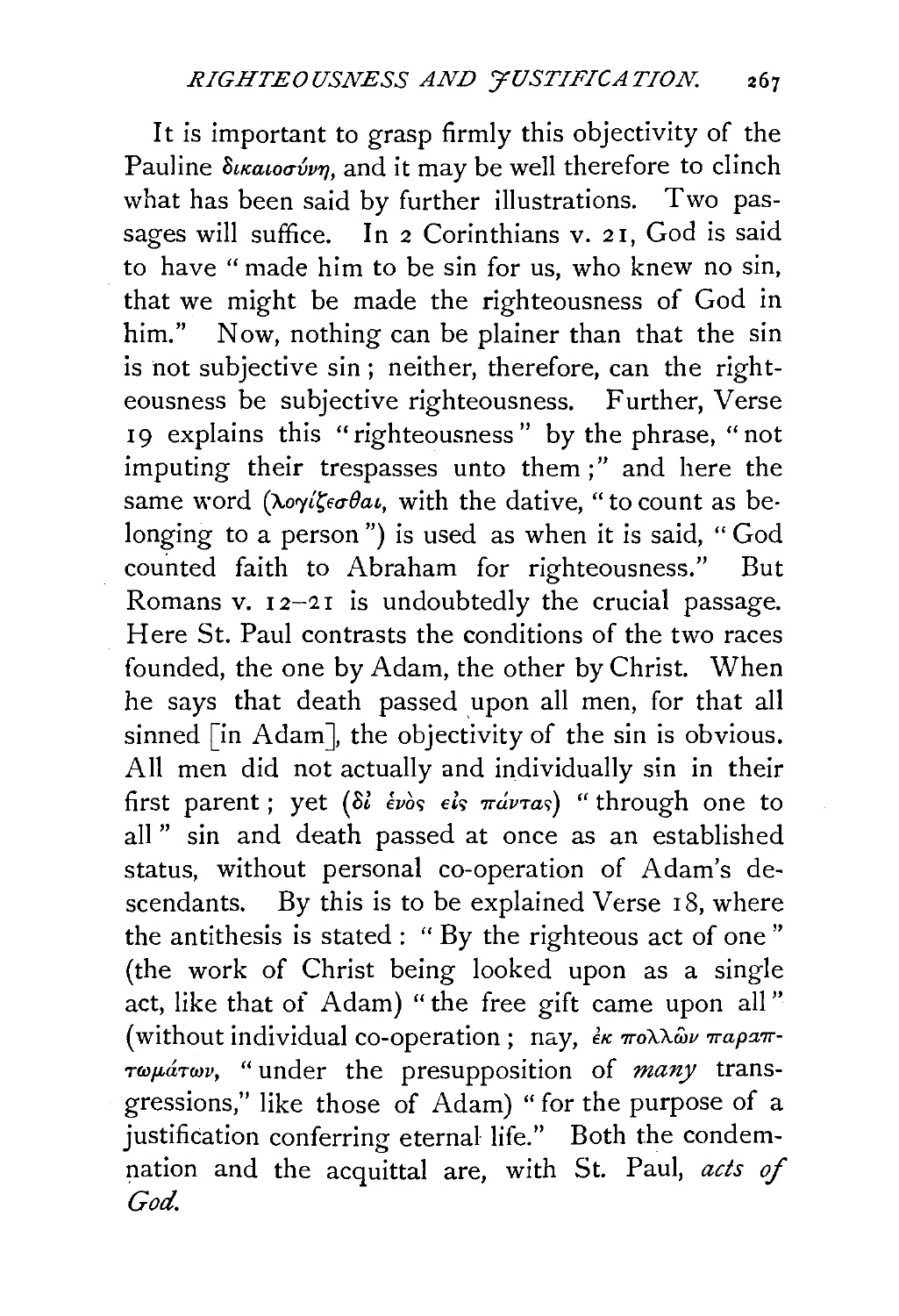It is important to grasp firmly this objectivity of the Pauline  $\delta$ *ikatoovvn*, and it may be well therefore to clinch what has been said by further illustrations. Two passages will suffice. In 2 Corinthians v. 21, God is said to have "made him to be sin for us, who knew no sin, that we might be made the righteousness of God in him." Now, nothing can be plainer than that the sin is not subjective sin; neither, therefore, can the righteousness be subjective righteousness. Further, Verse I9 explains this "righteousness" by the phrase, "not imputing their trespasses unto them;" and here the same word ( $\lambda o\gamma i\zeta e\sigma\theta a\iota$ , with the dative, "to count as belonging to a person") is used as when it is said, "God counted faith to Abraham for righteousness." But Romans v.  $12-21$  is undoubtedly the crucial passage. Here St. Paul contrasts the conditions of the two races founded, the one by Adam, the other by Christ. When he says that death passed upon all men, for that all sinned [in Adam], the objectivity of the sin is obvious. All men did not actually and individually sin in their first parent; yet *(di évos els mávras)* "through one to all " sin and death passed at once as an established status, without personal co-operation of Adam's descendants. By this is to be explained Verse 18, where the antithesis is stated : " By the righteous act of one " (the work of Christ being looked upon as a single act, like that of Adam) "the free gift came upon all" (without individual co-operation; nay,  $\epsilon_K \pi$ o $\lambda \lambda \hat{\omega} \nu \pi a \rho x \pi$ *τωμάτων*, "under the presupposition of *many* transgressions," like those of Adam) "for the purpose of a justification conferring eternal life." Both the condemnation and the acquittal are, with St. Paul, *acts* of *God.*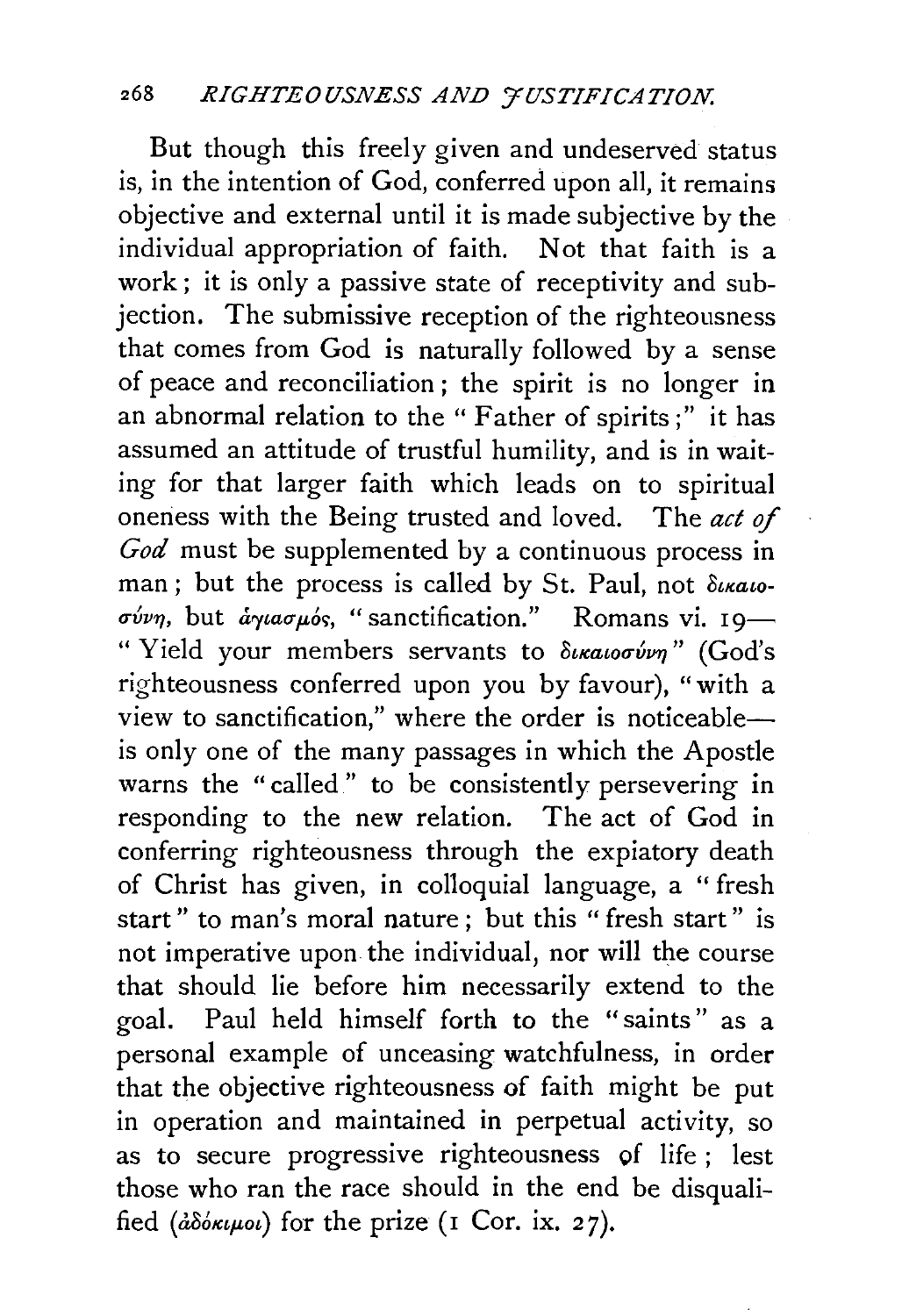But though this freely given and undeserved status is, in the intention of God, conferred upon all, it remains objective and external until it is made subjective by the individual appropriation of faith. Not that faith is a work; it is only a passive state of receptivity and subjection. The submissive reception of the righteousness that comes from God is naturally followed by a sense of peace and reconciliation ; the spirit is no longer in an abnormal relation to the "Father of spirits;" it has assumed an attitude of trustful humility, and is in waiting for that larger faith which leads on to spiritual oneness with the Being trusted and loved. The act *of God* must be supplemented by a continuous process in man; but the process is called by St. Paul, not  $\delta u$ ratoσύνη, but *άγιασμός*, "sanctification." Romans vi. 19-" Yield your members servants to δικαιοσύνη" (God's righteousness conferred upon you by favour), "with a view to sanctification," where the order is noticeableis only one of the many passages in which the Apostle warns the "called" to be consistently persevering in responding to the new relation. The act of God in conferring righteousness through the expiatory death of Christ has given, in colloquial language, a "fresh start" to man's moral nature; but this "fresh start" is not imperative upon the individual, nor will the course that should lie before him necessarily extend to the goal. Paul held himself forth to the "saints " as a personal example of unceasing watchfulness, in order that the objective righteousness of faith might be put in operation and maintained in perpetual activity, so as to secure progressive righteousness of life ; lest those who ran the race should in the end be disqualified  $(d\delta \delta \kappa \mu \omega)$  for the prize (1 Cor. ix. 27).